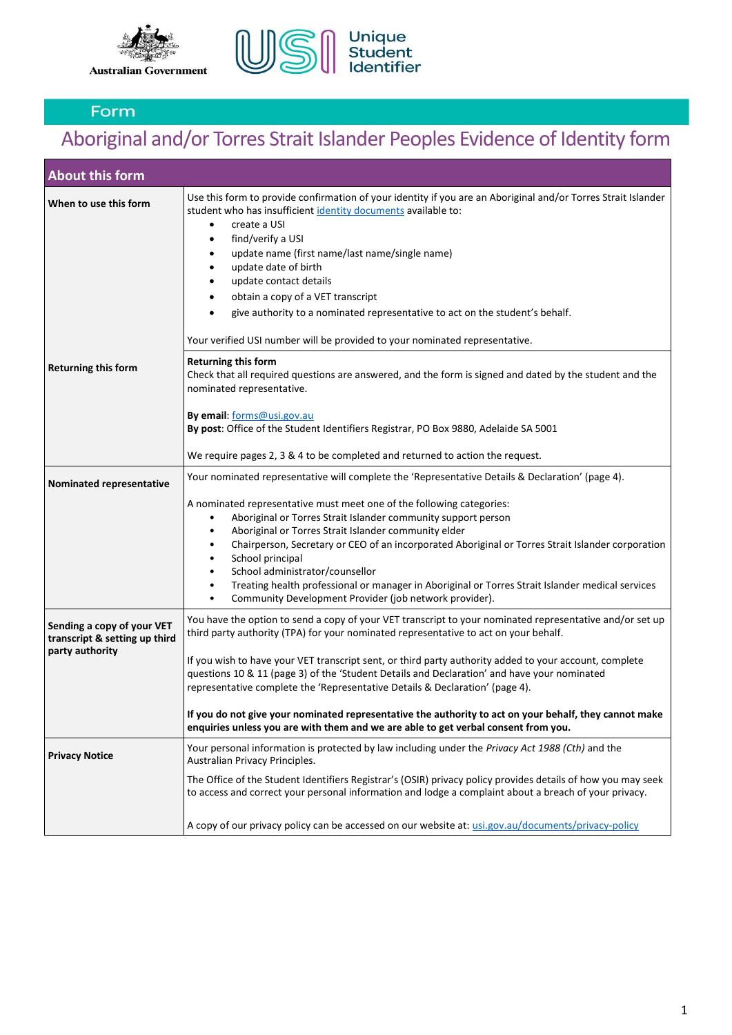



# Aboriginal and/or Torres Strait Islander Peoples Evidence of Identity form

| <b>About this form</b>                                                         |                                                                                                                                                                                                                                                                                                                                                                                                                                                                                                                                                                                                                                                                                                                         |
|--------------------------------------------------------------------------------|-------------------------------------------------------------------------------------------------------------------------------------------------------------------------------------------------------------------------------------------------------------------------------------------------------------------------------------------------------------------------------------------------------------------------------------------------------------------------------------------------------------------------------------------------------------------------------------------------------------------------------------------------------------------------------------------------------------------------|
| When to use this form                                                          | Use this form to provide confirmation of your identity if you are an Aboriginal and/or Torres Strait Islander<br>student who has insufficient identity documents available to:<br>create a USI<br>$\bullet$<br>find/verify a USI<br>$\bullet$<br>update name (first name/last name/single name)<br>$\bullet$<br>update date of birth<br>$\bullet$<br>update contact details<br>$\bullet$<br>obtain a copy of a VET transcript<br>$\bullet$<br>give authority to a nominated representative to act on the student's behalf.<br>٠<br>Your verified USI number will be provided to your nominated representative.                                                                                                          |
| <b>Returning this form</b>                                                     | <b>Returning this form</b><br>Check that all required questions are answered, and the form is signed and dated by the student and the<br>nominated representative.<br>By email: forms@usi.gov.au<br>By post: Office of the Student Identifiers Registrar, PO Box 9880, Adelaide SA 5001<br>We require pages 2, 3 & 4 to be completed and returned to action the request.                                                                                                                                                                                                                                                                                                                                                |
| Nominated representative                                                       | Your nominated representative will complete the 'Representative Details & Declaration' (page 4).<br>A nominated representative must meet one of the following categories:<br>Aboriginal or Torres Strait Islander community support person<br>$\bullet$<br>Aboriginal or Torres Strait Islander community elder<br>$\bullet$<br>Chairperson, Secretary or CEO of an incorporated Aboriginal or Torres Strait Islander corporation<br>$\bullet$<br>School principal<br>$\bullet$<br>School administrator/counsellor<br>$\bullet$<br>Treating health professional or manager in Aboriginal or Torres Strait Islander medical services<br>$\bullet$<br>Community Development Provider (job network provider).<br>$\bullet$ |
| Sending a copy of your VET<br>transcript & setting up third<br>party authority | You have the option to send a copy of your VET transcript to your nominated representative and/or set up<br>third party authority (TPA) for your nominated representative to act on your behalf.<br>If you wish to have your VET transcript sent, or third party authority added to your account, complete<br>questions 10 & 11 (page 3) of the 'Student Details and Declaration' and have your nominated<br>representative complete the 'Representative Details & Declaration' (page 4).<br>If you do not give your nominated representative the authority to act on your behalf, they cannot make<br>enquiries unless you are with them and we are able to get verbal consent from you.                               |
| <b>Privacy Notice</b>                                                          | Your personal information is protected by law including under the Privacy Act 1988 (Cth) and the<br>Australian Privacy Principles.<br>The Office of the Student Identifiers Registrar's (OSIR) privacy policy provides details of how you may seek<br>to access and correct your personal information and lodge a complaint about a breach of your privacy.<br>A copy of our privacy policy can be accessed on our website at: usi.gov.au/documents/privacy-policy                                                                                                                                                                                                                                                      |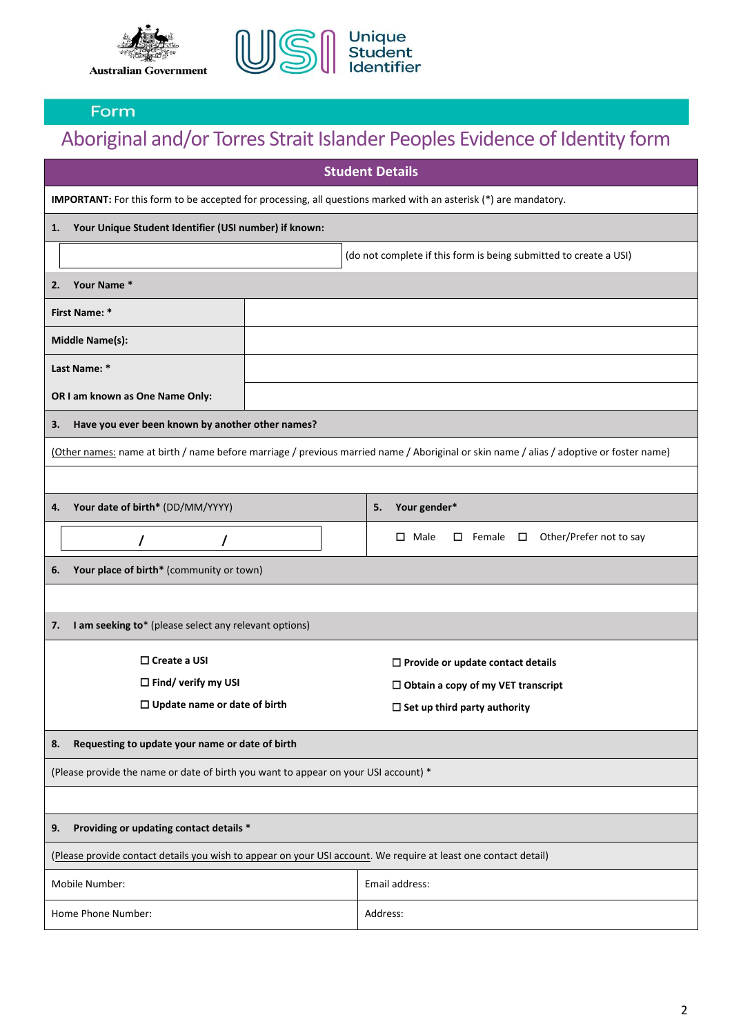



# Aboriginal and/or Torres Strait Islander Peoples Evidence of Identity form

| <b>Student Details</b>                                                                                           |                                                                                                                                         |  |  |
|------------------------------------------------------------------------------------------------------------------|-----------------------------------------------------------------------------------------------------------------------------------------|--|--|
| IMPORTANT: For this form to be accepted for processing, all questions marked with an asterisk (*) are mandatory. |                                                                                                                                         |  |  |
| Your Unique Student Identifier (USI number) if known:<br>1.                                                      |                                                                                                                                         |  |  |
| (do not complete if this form is being submitted to create a USI)                                                |                                                                                                                                         |  |  |
| Your Name *<br>2.                                                                                                |                                                                                                                                         |  |  |
| <b>First Name: *</b>                                                                                             |                                                                                                                                         |  |  |
| <b>Middle Name(s):</b>                                                                                           |                                                                                                                                         |  |  |
| Last Name: *                                                                                                     |                                                                                                                                         |  |  |
| OR I am known as One Name Only:                                                                                  |                                                                                                                                         |  |  |
| Have you ever been known by another other names?<br>3.                                                           |                                                                                                                                         |  |  |
|                                                                                                                  | (Other names: name at birth / name before marriage / previous married name / Aboriginal or skin name / alias / adoptive or foster name) |  |  |
|                                                                                                                  |                                                                                                                                         |  |  |
| Your date of birth* (DD/MM/YYYY)<br>4.                                                                           | Your gender*<br>5.                                                                                                                      |  |  |
| I<br>7                                                                                                           | Other/Prefer not to say<br>$\square$ Male<br>$\square$ Female $\square$                                                                 |  |  |
| Your place of birth* (community or town)<br>6.                                                                   |                                                                                                                                         |  |  |
|                                                                                                                  |                                                                                                                                         |  |  |
| I am seeking to* (please select any relevant options)<br>7.                                                      |                                                                                                                                         |  |  |
| $\Box$ Create a USI                                                                                              | $\square$ Provide or update contact details                                                                                             |  |  |
| $\Box$ Find/ verify my USI                                                                                       | $\Box$ Obtain a copy of my VET transcript                                                                                               |  |  |
| $\Box$ Update name or date of birth                                                                              | $\Box$ Set up third party authority                                                                                                     |  |  |
| Requesting to update your name or date of birth<br>8.                                                            |                                                                                                                                         |  |  |
| (Please provide the name or date of birth you want to appear on your USI account) *                              |                                                                                                                                         |  |  |
|                                                                                                                  |                                                                                                                                         |  |  |
| Providing or updating contact details *<br>9.                                                                    |                                                                                                                                         |  |  |
| (Please provide contact details you wish to appear on your USI account. We require at least one contact detail)  |                                                                                                                                         |  |  |
| Mobile Number:                                                                                                   | Email address:                                                                                                                          |  |  |
| Home Phone Number:                                                                                               | Address:                                                                                                                                |  |  |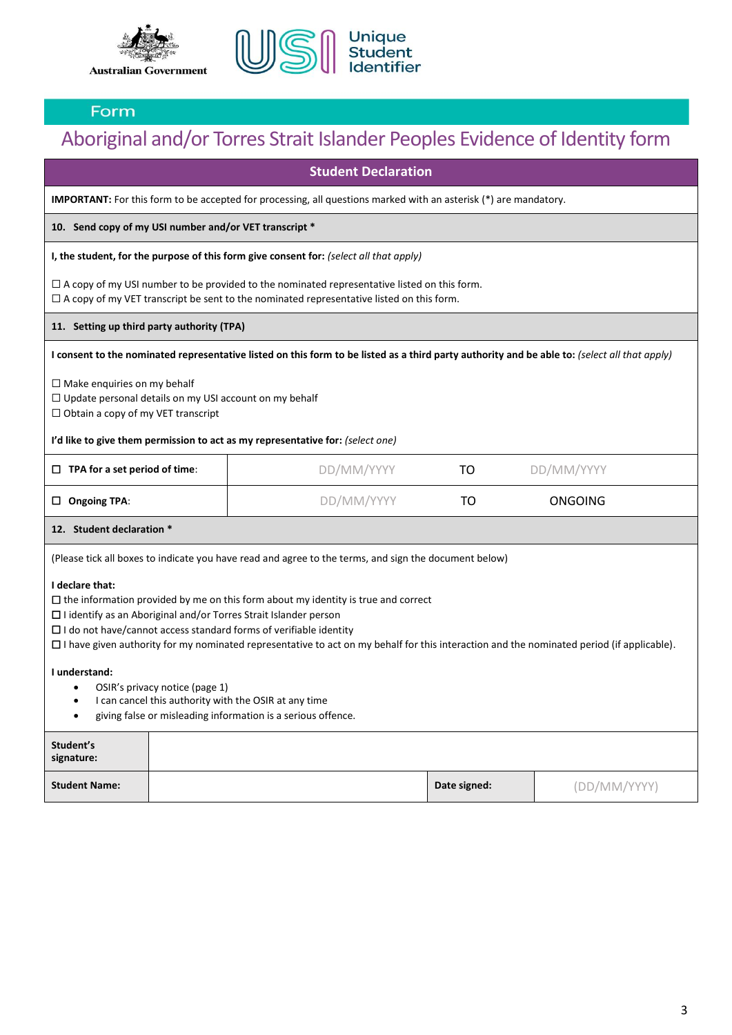



## Aboriginal and/or Torres Strait Islander Peoples Evidence of Identity form

| <b>Student Declaration</b>                                                                                                                                                                                                                                                                                                                                                                                             |                                                                                                                           |                                                                                                                                                                                                       |              |              |
|------------------------------------------------------------------------------------------------------------------------------------------------------------------------------------------------------------------------------------------------------------------------------------------------------------------------------------------------------------------------------------------------------------------------|---------------------------------------------------------------------------------------------------------------------------|-------------------------------------------------------------------------------------------------------------------------------------------------------------------------------------------------------|--------------|--------------|
|                                                                                                                                                                                                                                                                                                                                                                                                                        | <b>IMPORTANT:</b> For this form to be accepted for processing, all questions marked with an asterisk $(*)$ are mandatory. |                                                                                                                                                                                                       |              |              |
| 10. Send copy of my USI number and/or VET transcript *                                                                                                                                                                                                                                                                                                                                                                 |                                                                                                                           |                                                                                                                                                                                                       |              |              |
|                                                                                                                                                                                                                                                                                                                                                                                                                        |                                                                                                                           | I, the student, for the purpose of this form give consent for: (select all that apply)                                                                                                                |              |              |
|                                                                                                                                                                                                                                                                                                                                                                                                                        |                                                                                                                           | $\Box$ A copy of my USI number to be provided to the nominated representative listed on this form.<br>$\Box$ A copy of my VET transcript be sent to the nominated representative listed on this form. |              |              |
| 11. Setting up third party authority (TPA)                                                                                                                                                                                                                                                                                                                                                                             |                                                                                                                           |                                                                                                                                                                                                       |              |              |
|                                                                                                                                                                                                                                                                                                                                                                                                                        |                                                                                                                           | I consent to the nominated representative listed on this form to be listed as a third party authority and be able to: (select all that apply)                                                         |              |              |
| $\Box$ Make enquiries on my behalf<br>$\Box$ Update personal details on my USI account on my behalf<br>$\Box$ Obtain a copy of my VET transcript                                                                                                                                                                                                                                                                       |                                                                                                                           |                                                                                                                                                                                                       |              |              |
|                                                                                                                                                                                                                                                                                                                                                                                                                        |                                                                                                                           | I'd like to give them permission to act as my representative for: (select one)                                                                                                                        |              |              |
| $\Box$ TPA for a set period of time:                                                                                                                                                                                                                                                                                                                                                                                   |                                                                                                                           | DD/MM/YYYY                                                                                                                                                                                            | TO           | DD/MM/YYYY   |
| $\Box$ Ongoing TPA:                                                                                                                                                                                                                                                                                                                                                                                                    |                                                                                                                           | DD/MM/YYYY                                                                                                                                                                                            | TO           | ONGOING      |
| 12. Student declaration *                                                                                                                                                                                                                                                                                                                                                                                              |                                                                                                                           |                                                                                                                                                                                                       |              |              |
|                                                                                                                                                                                                                                                                                                                                                                                                                        |                                                                                                                           | (Please tick all boxes to indicate you have read and agree to the terms, and sign the document below)                                                                                                 |              |              |
| I declare that:<br>$\Box$ the information provided by me on this form about my identity is true and correct<br>$\Box$ I identify as an Aboriginal and/or Torres Strait Islander person<br>$\Box$ I do not have/cannot access standard forms of verifiable identity<br>$\Box$ I have given authority for my nominated representative to act on my behalf for this interaction and the nominated period (if applicable). |                                                                                                                           |                                                                                                                                                                                                       |              |              |
| I understand:<br>OSIR's privacy notice (page 1)<br>I can cancel this authority with the OSIR at any time<br>giving false or misleading information is a serious offence.<br>$\bullet$                                                                                                                                                                                                                                  |                                                                                                                           |                                                                                                                                                                                                       |              |              |
| Student's<br>signature:                                                                                                                                                                                                                                                                                                                                                                                                |                                                                                                                           |                                                                                                                                                                                                       |              |              |
| <b>Student Name:</b>                                                                                                                                                                                                                                                                                                                                                                                                   |                                                                                                                           |                                                                                                                                                                                                       | Date signed: | (DD/MM/YYYY) |

3